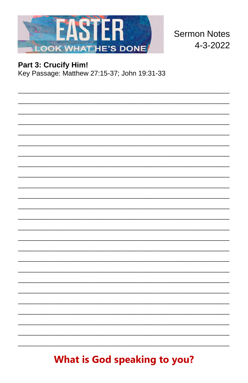

**Sermon Notes** 4-3-2022

# Part 3: Crucify Him!

Key Passage: Matthew 27:15-37; John 19:31-33

**What is God speaking to you?**